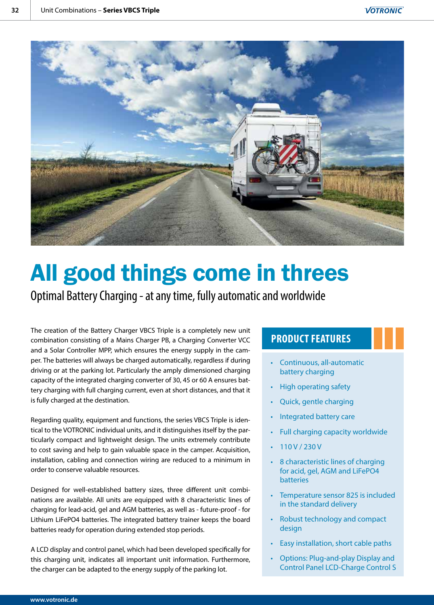

# All good things come in threes

Optimal Battery Charging - at any time, fully automatic and worldwide

The creation of the Battery Charger VBCS Triple is a completely new unit combination consisting of a Mains Charger PB, a Charging Converter VCC and a Solar Controller MPP, which ensures the energy supply in the camper. The batteries will always be charged automatically, regardless if during driving or at the parking lot. Particularly the amply dimensioned charging capacity of the integrated charging converter of 30, 45 or 60 A ensures battery charging with full charging current, even at short distances, and that it is fully charged at the destination.

Regarding quality, equipment and functions, the series VBCS Triple is identical to the VOTRONIC individual units, and it distinguishes itself by the particularly compact and lightweight design. The units extremely contribute to cost saving and help to gain valuable space in the camper. Acquisition, installation, cabling and connection wiring are reduced to a minimum in order to conserve valuable resources.

Designed for well-established battery sizes, three different unit combinations are available. All units are equipped with 8 characteristic lines of charging for lead-acid, gel and AGM batteries, as well as - future-proof - for Lithium LiFePO4 batteries. The integrated battery trainer keeps the board batteries ready for operation during extended stop periods.

A LCD display and control panel, which had been developed specifically for this charging unit, indicates all important unit information. Furthermore, the charger can be adapted to the energy supply of the parking lot.

## **PRODUCT FEATURES**

- Continuous, all-automatic battery charging
- High operating safety
- Quick, gentle charging
- Integrated battery care
- Full charging capacity worldwide
- 110 V / 230 V
- 8 characteristic lines of charging for acid, gel, AGM and LiFePO4 batteries
- Temperature sensor 825 is included in the standard delivery
- Robust technology and compact design
- Easy installation, short cable paths
- Options: Plug-and-play Display and Control Panel LCD-Charge Control S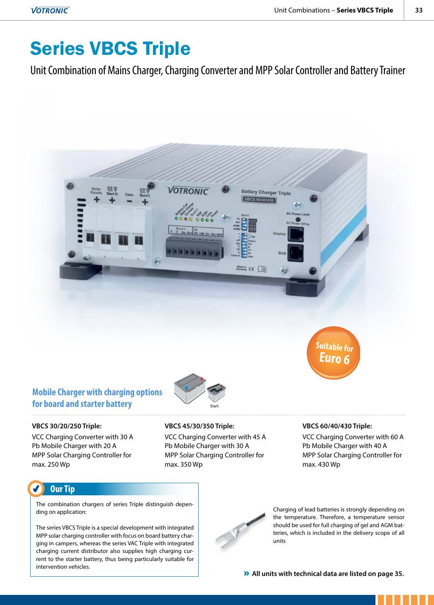## Series VBCS Triple

Unit Combination of Mains Charger, Charging Converter and MPP Solar Controller and Battery Trainer



## **Mobile Charger with charging options for board and starter battery**

#### **VBCS 30/20/250 Triple:**

VCC Charging Converter with 30 A Pb Mobile Charger with 20 A MPP Solar Charging Controller for max. 250 Wp

**VBCS 45/30/350 Triple:** 

VCC Charging Converter with 45 A Pb Mobile Charger with 30 A MPP Solar Charging Controller for max. 350 Wp

Start

#### **VBCS 60/40/430 Triple:**

VCC Charging Converter with 60 A Pb Mobile Charger with 40 A MPP Solar Charging Controller for max. 430 Wp

### **Our Tip**

The combination chargers of series Triple distinguish depending on application:

The series VBCS Triple is a special development with integrated MPP solar charging controller with focus on board battery charging in campers, whereas the series VAC Triple with integrated charging current distributor also supplies high charging current to the starter battery, thus being particularly suitable for intervention vehicles.



Charging of lead batteries is strongly depending on the temperature. Therefore, a temperature sensor should be used for full charging of gel and AGM batteries, which is included in the delivery scope of all units